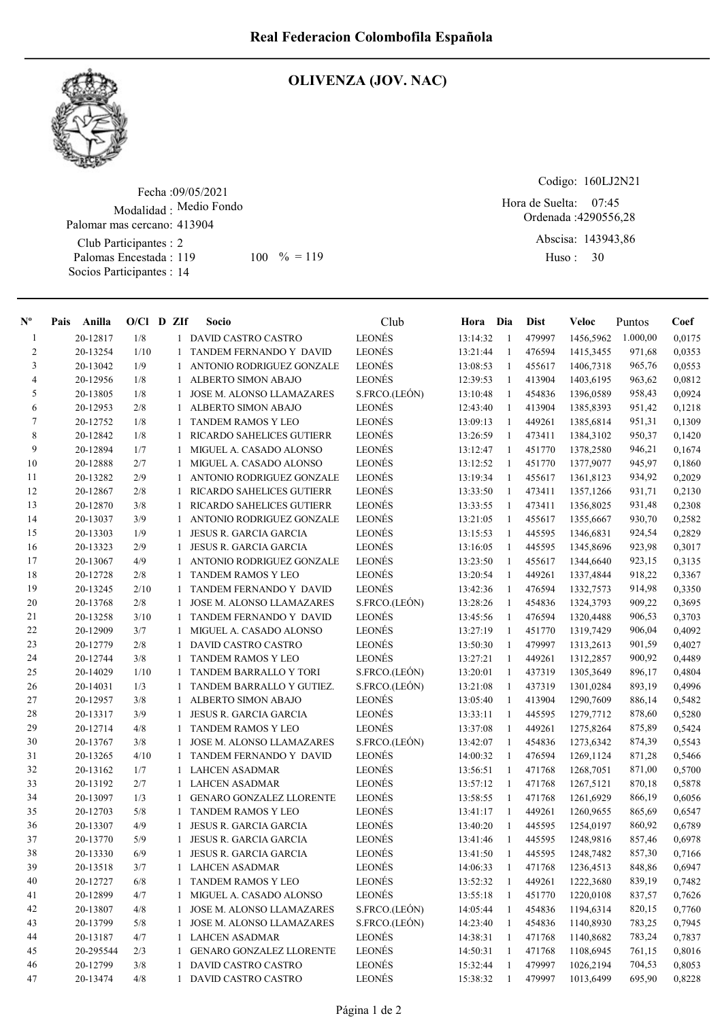

## OLIVENZA (JOV. NAC)

Fecha : 09/05/2021 Modalidad : Medio Fondo Club Participantes : 2 Palomas Encestada : Palomar mas cercano: 413904

Socios Participantes : 14

119 100 % = 119 Huso: 30

Codigo: 160LJ2N21

Ordenada : 4290556,28 Abscisa: 143943,86 Hora de Suelta: 07:45

Huso: 30

| $N^{\rm o}$    | Anilla<br>Pais | $O/Cl$ D ZIf |              | Socio                                                        | Club          | Hora Dia |                     | Dist             | Veloc                  | Puntos   | Coef   |
|----------------|----------------|--------------|--------------|--------------------------------------------------------------|---------------|----------|---------------------|------------------|------------------------|----------|--------|
| -1             | 20-12817       | 1/8          | 1            | DAVID CASTRO CASTRO                                          | LEONÉS        | 13:14:32 | -1                  | 479997           | 1456,5962              | 1.000,00 | 0,0175 |
| 2              | 20-13254       | 1/10         |              | TANDEM FERNANDO Y DAVID                                      | <b>LEONÉS</b> | 13:21:44 | 1                   | 476594           | 1415,3455              | 971,68   | 0,0353 |
| 3              | 20-13042       | 1/9          | 1            | ANTONIO RODRIGUEZ GONZALE                                    | <b>LEONÉS</b> | 13:08:53 | 1                   | 455617           | 1406,7318              | 965,76   | 0,0553 |
| $\overline{4}$ | 20-12956       | 1/8          | 1            | <b>ALBERTO SIMON ABAJO</b>                                   | <b>LEONÉS</b> | 12:39:53 | 1                   | 413904           | 1403,6195              | 963,62   | 0,0812 |
| 5              | 20-13805       | 1/8          | 1            | <b>JOSE M. ALONSO LLAMAZARES</b>                             | S.FRCO.(LEÓN) | 13:10:48 | -1                  | 454836           | 1396,0589              | 958,43   | 0,0924 |
| 6              | 20-12953       | 2/8          | 1            | ALBERTO SIMON ABAJO                                          | LEONÉS        | 12:43:40 | 1                   | 413904           | 1385,8393              | 951,42   | 0,1218 |
| 7              | 20-12752       | 1/8          | -1           | <b>TANDEM RAMOS Y LEO</b>                                    | <b>LEONÉS</b> | 13:09:13 | 1                   | 449261           | 1385,6814              | 951,31   | 0,1309 |
| 8              | 20-12842       | 1/8          | 1            | <b>RICARDO SAHELICES GUTIERR</b>                             | <b>LEONÉS</b> | 13:26:59 | 1                   | 473411           | 1384,3102              | 950,37   | 0,1420 |
| 9              | 20-12894       | 1/7          | 1            | MIGUEL A. CASADO ALONSO                                      | <b>LEONÉS</b> | 13:12:47 | 1                   | 451770           | 1378,2580              | 946,21   | 0,1674 |
| 10             | 20-12888       | 2/7          | 1            | MIGUEL A. CASADO ALONSO                                      | <b>LEONÉS</b> | 13:12:52 | 1                   | 451770           | 1377,9077              | 945,97   | 0,1860 |
| 11             | 20-13282       | 2/9          |              | ANTONIO RODRIGUEZ GONZALE                                    | <b>LEONÉS</b> | 13:19:34 | 1                   | 455617           | 1361,8123              | 934,92   | 0,2029 |
| 12             | 20-12867       | 2/8          | 1            | <b>RICARDO SAHELICES GUTIERR</b>                             | <b>LEONÉS</b> | 13:33:50 | 1                   | 473411           | 1357,1266              | 931,71   | 0,2130 |
| 13             | 20-12870       | 3/8          | 1            | RICARDO SAHELICES GUTIERR                                    | <b>LEONÉS</b> | 13:33:55 | 1                   | 473411           | 1356,8025              | 931,48   | 0,2308 |
| 14             | 20-13037       | 3/9          | 1            | ANTONIO RODRIGUEZ GONZALE                                    | <b>LEONÉS</b> | 13:21:05 | -1                  | 455617           | 1355,6667              | 930,70   | 0,2582 |
| 15             | 20-13303       | 1/9          | 1            | <b>JESUS R. GARCIA GARCIA</b>                                | LEONÉS        | 13:15:53 | -1                  | 445595           | 1346,6831              | 924,54   | 0,2829 |
| 16             | 20-13323       | 2/9          | 1            | JESUS R. GARCIA GARCIA                                       | <b>LEONÉS</b> | 13:16:05 | 1                   | 445595           | 1345,8696              | 923,98   | 0,3017 |
| 17             | 20-13067       | 4/9          | 1            | ANTONIO RODRIGUEZ GONZALE                                    | <b>LEONÉS</b> | 13:23:50 | -1                  | 455617           | 1344,6640              | 923,15   | 0,3135 |
| 18             | 20-12728       | 2/8          | 1            | <b>TANDEM RAMOS Y LEO</b>                                    | LEONÉS        | 13:20:54 | 1                   | 449261           | 1337,4844              | 918,22   | 0,3367 |
| 19             | 20-13245       | 2/10         | 1            | TANDEM FERNANDO Y DAVID                                      | <b>LEONÉS</b> | 13:42:36 | 1                   | 476594           | 1332,7573              | 914,98   | 0,3350 |
| 20             | 20-13768       | 2/8          | 1            | <b>JOSE M. ALONSO LLAMAZARES</b>                             | S.FRCO.(LEÓN) | 13:28:26 | 1                   | 454836           | 1324,3793              | 909,22   | 0,3695 |
| 21             | 20-13258       | 3/10         | 1            | TANDEM FERNANDO Y DAVID                                      | <b>LEONÉS</b> | 13:45:56 | -1                  | 476594           | 1320,4488              | 906,53   | 0,3703 |
| 22             | 20-12909       | 3/7          |              | MIGUEL A. CASADO ALONSO                                      | <b>LEONÉS</b> | 13:27:19 | -1                  | 451770           | 1319,7429              | 906,04   | 0,4092 |
| 23             | 20-12779       | 2/8          | 1            | <b>DAVID CASTRO CASTRO</b>                                   | <b>LEONÉS</b> | 13:50:30 | 1                   | 479997           | 1313,2613              | 901,59   | 0,4027 |
| 24             | 20-12744       | 3/8          | 1            | <b>TANDEM RAMOS Y LEO</b>                                    | <b>LEONÉS</b> | 13:27:21 | 1                   | 449261           | 1312,2857              | 900,92   | 0,4489 |
| 25             | 20-14029       | 1/10         | 1            | TANDEM BARRALLO Y TORI                                       | S.FRCO.(LEÓN) | 13:20:01 | 1                   | 437319           | 1305,3649              | 896,17   | 0,4804 |
| 26             | 20-14031       | 1/3          |              | TANDEM BARRALLO Y GUTIEZ.                                    | S.FRCO.(LEÓN) | 13:21:08 | -1                  | 437319           | 1301,0284              | 893,19   | 0,4996 |
| 27             | 20-12957       | 3/8          | -1           | ALBERTO SIMON ABAJO                                          | LEONÉS        | 13:05:40 | -1                  | 413904           | 1290,7609              | 886,14   | 0,5482 |
| 28             | 20-13317       | 3/9          | 1            | JESUS R. GARCIA GARCIA                                       | <b>LEONÉS</b> | 13:33:11 | $\mathbf{1}$        | 445595           | 1279,7712              | 878,60   | 0,5280 |
| 29             | 20-12714       | 4/8          | 1            | <b>TANDEM RAMOS Y LEO</b>                                    | LEONÉS        | 13:37:08 | $\mathbf{1}$        | 449261           | 1275,8264              | 875,89   | 0,5424 |
| 30             | 20-13767       | 3/8          | 1            | <b>JOSE M. ALONSO LLAMAZARES</b>                             | S.FRCO.(LEÓN) | 13:42:07 | 1                   | 454836           |                        | 874,39   | 0,5543 |
| 31             | 20-13265       | 4/10         | -1           | TANDEM FERNANDO Y DAVID                                      | <b>LEONÉS</b> | 14:00:32 | 1                   | 476594           | 1273,6342<br>1269,1124 | 871,28   | 0,5466 |
| 32             | 20-13162       | 1/7          | 1            | <b>LAHCEN ASADMAR</b>                                        | LEONÉS        | 13:56:51 |                     | 471768           | 1268,7051              | 871,00   | 0,5700 |
| 33             |                |              |              |                                                              | <b>LEONÉS</b> |          | 1                   |                  |                        |          |        |
| 34             | 20-13192       | 2/7          | 1            | <b>LAHCEN ASADMAR</b>                                        | <b>LEONÉS</b> | 13:57:12 | -1                  | 471768<br>471768 | 1267,5121              | 870,18   | 0,5878 |
|                | 20-13097       | 1/3          | -1           | <b>GENARO GONZALEZ LLORENTE</b><br><b>TANDEM RAMOS Y LEO</b> | <b>LEONÉS</b> | 13:58:55 | -1                  |                  | 1261,6929              | 866,19   | 0,6056 |
| 35             | 20-12703       | 5/8          | 1            |                                                              |               | 13:41:17 | -1                  | 449261           | 1260,9655              | 865,69   | 0,6547 |
| 36             | 20-13307       | 4/9          | 1            | <b>JESUS R. GARCIA GARCIA</b>                                | LEONÉS        | 13:40:20 | -1                  | 445595           | 1254,0197              | 860,92   | 0,6789 |
| 37             | 20-13770       | 5/9          |              | JESUS R. GARCIA GARCIA                                       | <b>LEONÉS</b> | 13:41:46 | 1<br>$\overline{1}$ | 445595           | 1248,9816              | 857,46   | 0.6978 |
| 38             | $20 - 13330$   | $6/9$        |              | 1 JESUS R. GARCIA GARCIA                                     | <b>LEONÉS</b> | 13:41:50 |                     | 445595           | 1248,7482              | 857,30   | 0,7166 |
| 39             | 20-13518       | 3/7          |              | 1 LAHCEN ASADMAR                                             | LEONÉS        | 14:06:33 | 1                   | 471768           | 1236,4513              | 848,86   | 0,6947 |
| 40             | 20-12727       | 6/8          | 1            | <b>TANDEM RAMOS Y LEO</b>                                    | LEONÉS        | 13:52:32 | -1                  | 449261           | 1222,3680              | 839,19   | 0,7482 |
| 41             | 20-12899       | 4/7          | 1            | MIGUEL A. CASADO ALONSO                                      | LEONÉS        | 13:55:18 | -1                  | 451770           | 1220,0108              | 837,57   | 0,7626 |
| 42             | 20-13807       | 4/8          | 1            | JOSE M. ALONSO LLAMAZARES                                    | S.FRCO.(LEÓN) | 14:05:44 | 1                   | 454836           | 1194,6314              | 820,15   | 0,7760 |
| 43             | 20-13799       | 5/8          | 1            | JOSE M. ALONSO LLAMAZARES                                    | S.FRCO.(LEÓN) | 14:23:40 | 1                   | 454836           | 1140,8930              | 783,25   | 0,7945 |
| 44             | 20-13187       | 4/7          | 1            | <b>LAHCEN ASADMAR</b>                                        | LEONÉS        | 14:38:31 | 1                   | 471768           | 1140,8682              | 783,24   | 0,7837 |
| 45             | 20-295544      | 2/3          | 1            | <b>GENARO GONZALEZ LLORENTE</b>                              | LEONÉS        | 14:50:31 | -1                  | 471768           | 1108,6945              | 761,15   | 0,8016 |
| 46             | 20-12799       | 3/8          |              | DAVID CASTRO CASTRO                                          | LEONÉS        | 15:32:44 | 1                   | 479997           | 1026,2194              | 704,53   | 0,8053 |
| 47             | 20-13474       | 4/8          | $\mathbf{1}$ | DAVID CASTRO CASTRO                                          | LEONÉS        | 15:38:32 | 1                   | 479997           | 1013,6499              | 695,90   | 0,8228 |